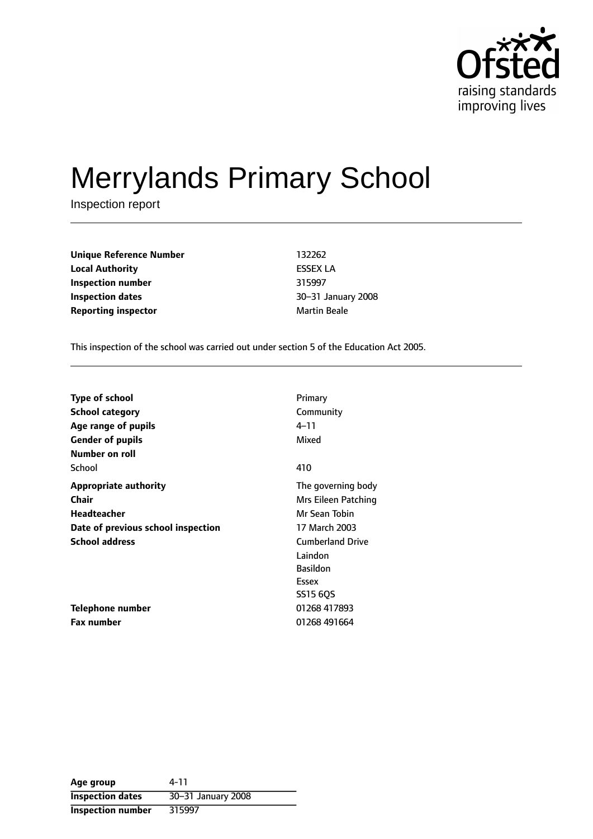

# Merrylands Primary School

Inspection report

**Unique Reference Number** 132262 **Local Authority** ESSEX LA **Inspection number** 315997 **Inspection dates 1888 1888 1888 1888 1888 1888 1888 1888 1888 1888 1888 1888 1888 1888 1888 1888 1888 1888 1888 1888 1888 1888 1888 1888 1888 1888 1888 1888 1888 Reporting inspector and a structure of the Martin Beale** 

This inspection of the school was carried out under section 5 of the Education Act 2005.

| <b>Type of school</b>              | Primary                 |
|------------------------------------|-------------------------|
| <b>School category</b>             | Community               |
| Age range of pupils                | 4–11                    |
| <b>Gender of pupils</b>            | Mixed                   |
| Number on roll                     |                         |
| School                             | 410                     |
| <b>Appropriate authority</b>       | The governing body      |
| <b>Chair</b>                       | Mrs Eileen Patching     |
| Headteacher                        | Mr Sean Tobin           |
| Date of previous school inspection | 17 March 2003           |
| <b>School address</b>              | <b>Cumberland Drive</b> |
|                                    | Laindon                 |
|                                    | <b>Basildon</b>         |
|                                    | Essex                   |
|                                    | SS15 6QS                |
| Telephone number                   | 01268 417893            |
| <b>Fax number</b>                  | 01268 491664            |

| Age group                | 4-11               |
|--------------------------|--------------------|
| <b>Inspection dates</b>  | 30-31 January 2008 |
| <b>Inspection number</b> | 315997             |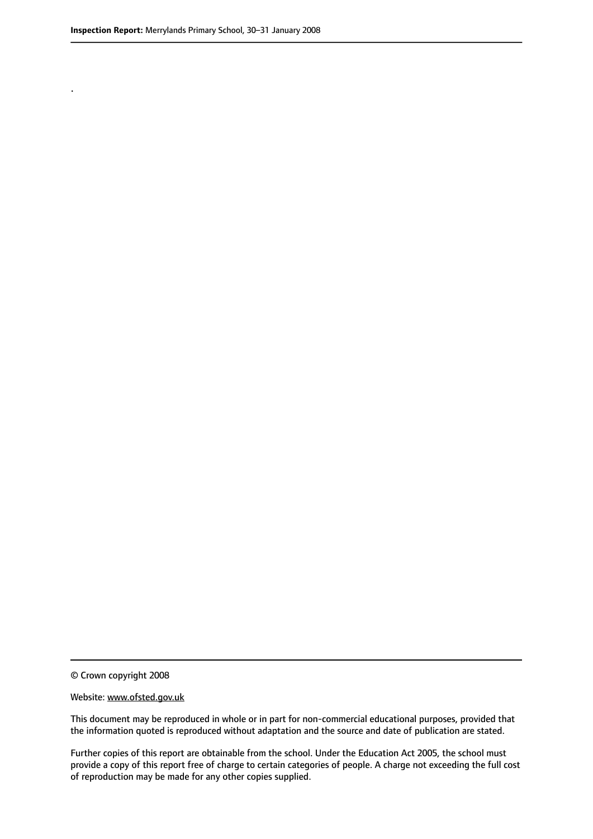.

© Crown copyright 2008

#### Website: www.ofsted.gov.uk

This document may be reproduced in whole or in part for non-commercial educational purposes, provided that the information quoted is reproduced without adaptation and the source and date of publication are stated.

Further copies of this report are obtainable from the school. Under the Education Act 2005, the school must provide a copy of this report free of charge to certain categories of people. A charge not exceeding the full cost of reproduction may be made for any other copies supplied.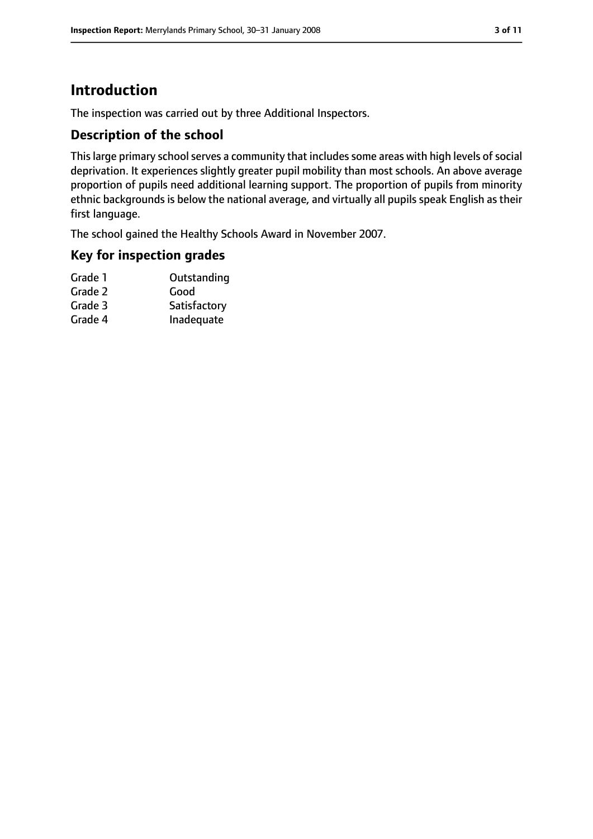## **Introduction**

The inspection was carried out by three Additional Inspectors.

## **Description of the school**

This large primary school serves a community that includes some areas with high levels of social deprivation. It experiences slightly greater pupil mobility than most schools. An above average proportion of pupils need additional learning support. The proportion of pupils from minority ethnic backgrounds is below the national average, and virtually all pupils speak English as their first language.

The school gained the Healthy Schools Award in November 2007.

#### **Key for inspection grades**

| Grade 1 | Outstanding  |
|---------|--------------|
| Grade 2 | Good         |
| Grade 3 | Satisfactory |
|         |              |

Grade 4 Inadequate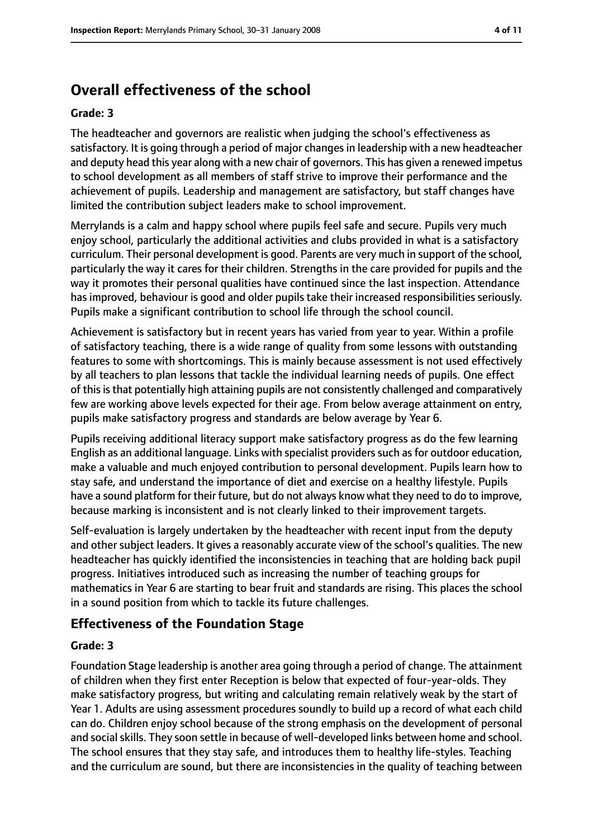## **Overall effectiveness of the school**

#### **Grade: 3**

The headteacher and governors are realistic when judging the school's effectiveness as satisfactory. It is going through a period of major changes in leadership with a new headteacher and deputy head this year along with a new chair of governors. This has given a renewed impetus to school development as all members of staff strive to improve their performance and the achievement of pupils. Leadership and management are satisfactory, but staff changes have limited the contribution subject leaders make to school improvement.

Merrylands is a calm and happy school where pupils feel safe and secure. Pupils very much enjoy school, particularly the additional activities and clubs provided in what is a satisfactory curriculum. Their personal development is good. Parents are very much in support of the school, particularly the way it cares for their children. Strengths in the care provided for pupils and the way it promotes their personal qualities have continued since the last inspection. Attendance has improved, behaviour is good and older pupils take their increased responsibilities seriously. Pupils make a significant contribution to school life through the school council.

Achievement is satisfactory but in recent years has varied from year to year. Within a profile of satisfactory teaching, there is a wide range of quality from some lessons with outstanding features to some with shortcomings. This is mainly because assessment is not used effectively by all teachers to plan lessons that tackle the individual learning needs of pupils. One effect of this is that potentially high attaining pupils are not consistently challenged and comparatively few are working above levels expected for their age. From below average attainment on entry, pupils make satisfactory progress and standards are below average by Year 6.

Pupils receiving additional literacy support make satisfactory progress as do the few learning English as an additional language. Links with specialist providers such as for outdoor education, make a valuable and much enjoyed contribution to personal development. Pupils learn how to stay safe, and understand the importance of diet and exercise on a healthy lifestyle. Pupils have a sound platform for their future, but do not always know what they need to do to improve, because marking is inconsistent and is not clearly linked to their improvement targets.

Self-evaluation is largely undertaken by the headteacher with recent input from the deputy and other subject leaders. It gives a reasonably accurate view of the school's qualities. The new headteacher has quickly identified the inconsistencies in teaching that are holding back pupil progress. Initiatives introduced such as increasing the number of teaching groups for mathematics in Year 6 are starting to bear fruit and standards are rising. This places the school in a sound position from which to tackle its future challenges.

## **Effectiveness of the Foundation Stage**

#### **Grade: 3**

Foundation Stage leadership is another area going through a period of change. The attainment of children when they first enter Reception is below that expected of four-year-olds. They make satisfactory progress, but writing and calculating remain relatively weak by the start of Year 1. Adults are using assessment procedures soundly to build up a record of what each child can do. Children enjoy school because of the strong emphasis on the development of personal and social skills. They soon settle in because of well-developed links between home and school. The school ensures that they stay safe, and introduces them to healthy life-styles. Teaching and the curriculum are sound, but there are inconsistencies in the quality of teaching between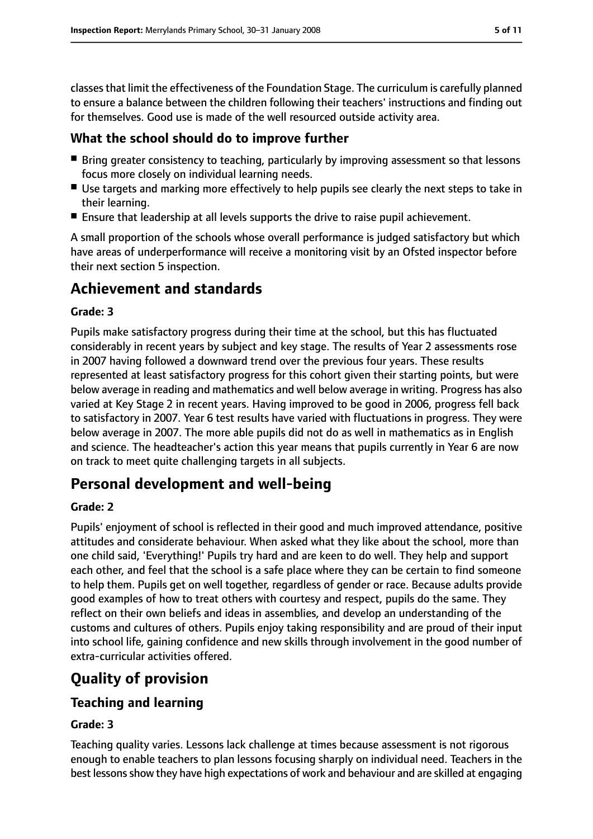classesthat limit the effectiveness of the Foundation Stage. The curriculum is carefully planned to ensure a balance between the children following their teachers' instructions and finding out for themselves. Good use is made of the well resourced outside activity area.

## **What the school should do to improve further**

- Bring greater consistency to teaching, particularly by improving assessment so that lessons focus more closely on individual learning needs.
- Use targets and marking more effectively to help pupils see clearly the next steps to take in their learning.
- Ensure that leadership at all levels supports the drive to raise pupil achievement.

A small proportion of the schools whose overall performance is judged satisfactory but which have areas of underperformance will receive a monitoring visit by an Ofsted inspector before their next section 5 inspection.

## **Achievement and standards**

#### **Grade: 3**

Pupils make satisfactory progress during their time at the school, but this has fluctuated considerably in recent years by subject and key stage. The results of Year 2 assessments rose in 2007 having followed a downward trend over the previous four years. These results represented at least satisfactory progress for this cohort given their starting points, but were below average in reading and mathematics and well below average in writing. Progress has also varied at Key Stage 2 in recent years. Having improved to be good in 2006, progress fell back to satisfactory in 2007. Year 6 test results have varied with fluctuations in progress. They were below average in 2007. The more able pupils did not do as well in mathematics as in English and science. The headteacher's action this year means that pupils currently in Year 6 are now on track to meet quite challenging targets in all subjects.

## **Personal development and well-being**

#### **Grade: 2**

Pupils' enjoyment of school is reflected in their good and much improved attendance, positive attitudes and considerate behaviour. When asked what they like about the school, more than one child said, 'Everything!' Pupils try hard and are keen to do well. They help and support each other, and feel that the school is a safe place where they can be certain to find someone to help them. Pupils get on well together, regardless of gender or race. Because adults provide good examples of how to treat others with courtesy and respect, pupils do the same. They reflect on their own beliefs and ideas in assemblies, and develop an understanding of the customs and cultures of others. Pupils enjoy taking responsibility and are proud of their input into school life, gaining confidence and new skills through involvement in the good number of extra-curricular activities offered.

## **Quality of provision**

#### **Teaching and learning**

#### **Grade: 3**

Teaching quality varies. Lessons lack challenge at times because assessment is not rigorous enough to enable teachers to plan lessons focusing sharply on individual need. Teachers in the best lessons show they have high expectations of work and behaviour and are skilled at engaging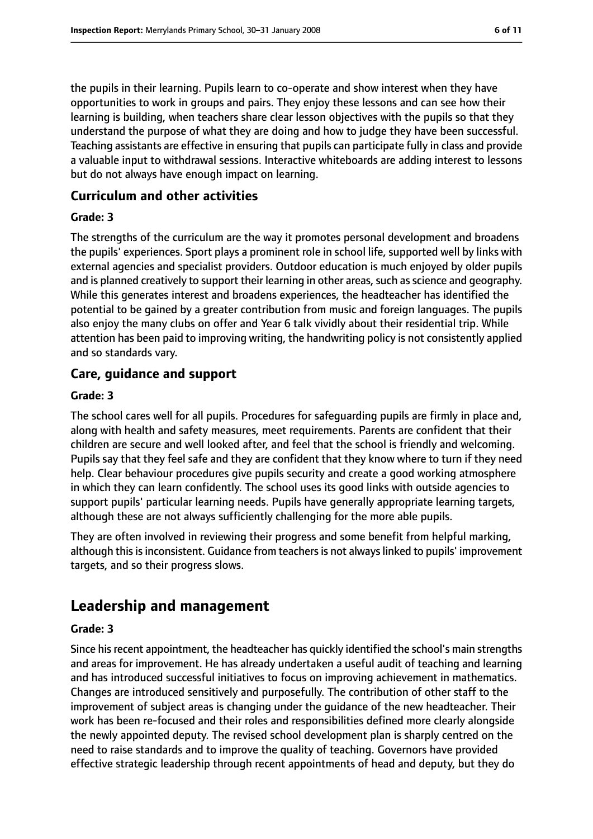the pupils in their learning. Pupils learn to co-operate and show interest when they have opportunities to work in groups and pairs. They enjoy these lessons and can see how their learning is building, when teachers share clear lesson objectives with the pupils so that they understand the purpose of what they are doing and how to judge they have been successful. Teaching assistants are effective in ensuring that pupils can participate fully in class and provide a valuable input to withdrawal sessions. Interactive whiteboards are adding interest to lessons but do not always have enough impact on learning.

#### **Curriculum and other activities**

#### **Grade: 3**

The strengths of the curriculum are the way it promotes personal development and broadens the pupils' experiences. Sport plays a prominent role in school life, supported well by links with external agencies and specialist providers. Outdoor education is much enjoyed by older pupils and is planned creatively to support their learning in other areas, such as science and geography. While this generates interest and broadens experiences, the headteacher has identified the potential to be gained by a greater contribution from music and foreign languages. The pupils also enjoy the many clubs on offer and Year 6 talk vividly about their residential trip. While attention has been paid to improving writing, the handwriting policy is not consistently applied and so standards vary.

#### **Care, guidance and support**

#### **Grade: 3**

The school cares well for all pupils. Procedures for safeguarding pupils are firmly in place and, along with health and safety measures, meet requirements. Parents are confident that their children are secure and well looked after, and feel that the school is friendly and welcoming. Pupils say that they feel safe and they are confident that they know where to turn if they need help. Clear behaviour procedures give pupils security and create a good working atmosphere in which they can learn confidently. The school uses its good links with outside agencies to support pupils' particular learning needs. Pupils have generally appropriate learning targets, although these are not always sufficiently challenging for the more able pupils.

They are often involved in reviewing their progress and some benefit from helpful marking, although this is inconsistent. Guidance from teachers is not always linked to pupils' improvement targets, and so their progress slows.

## **Leadership and management**

#### **Grade: 3**

Since his recent appointment, the headteacher has quickly identified the school's main strengths and areas for improvement. He has already undertaken a useful audit of teaching and learning and has introduced successful initiatives to focus on improving achievement in mathematics. Changes are introduced sensitively and purposefully. The contribution of other staff to the improvement of subject areas is changing under the guidance of the new headteacher. Their work has been re-focused and their roles and responsibilities defined more clearly alongside the newly appointed deputy. The revised school development plan is sharply centred on the need to raise standards and to improve the quality of teaching. Governors have provided effective strategic leadership through recent appointments of head and deputy, but they do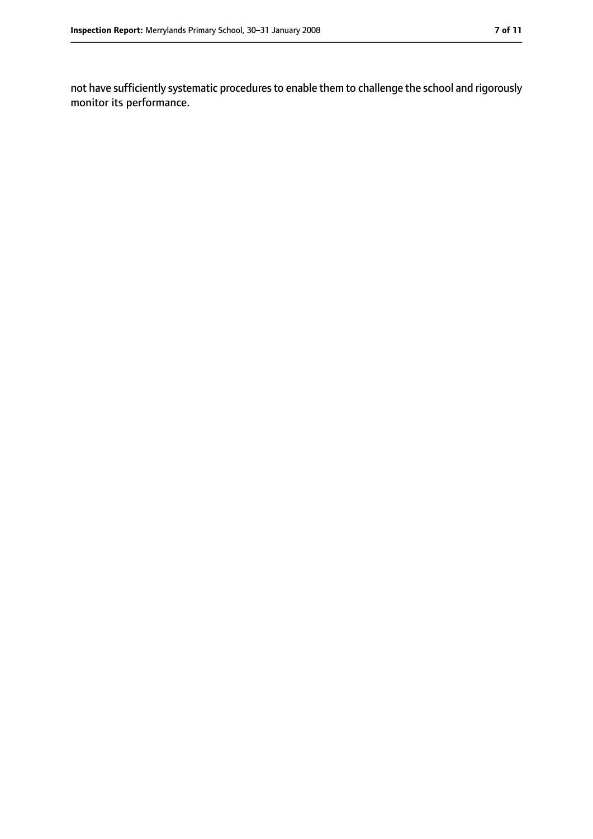not have sufficiently systematic procedures to enable them to challenge the school and rigorously monitor its performance.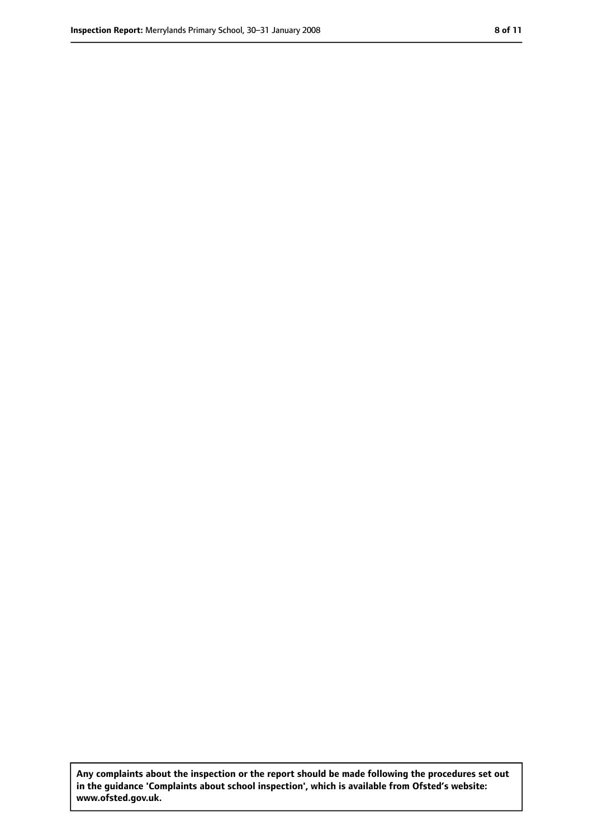**Any complaints about the inspection or the report should be made following the procedures set out in the guidance 'Complaints about school inspection', which is available from Ofsted's website: www.ofsted.gov.uk.**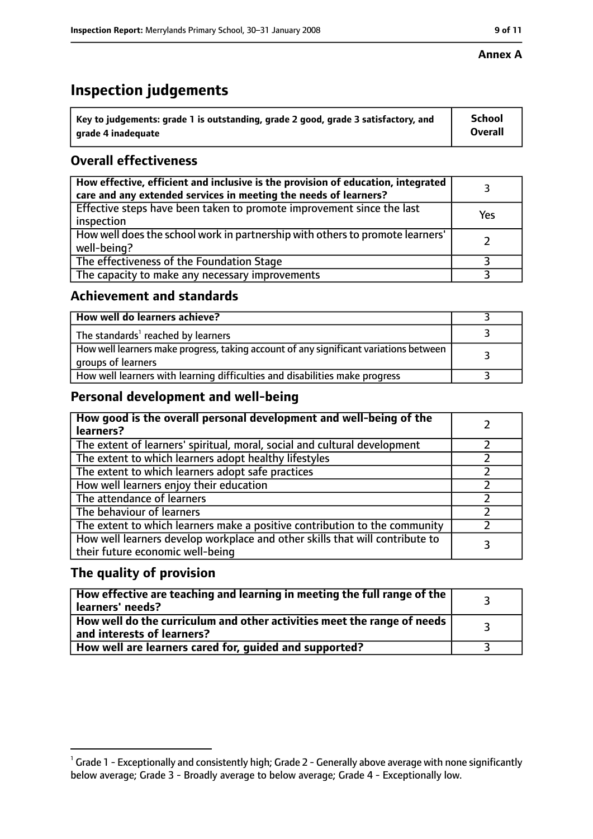#### **Inspection Report:** Merrylands Primary School, 30–31 January 2008 **11 11 1231 9 11 9 9 9 11**

#### **Annex A**

# **Inspection judgements**

| Key to judgements: grade 1 is outstanding, grade 2 good, grade 3 satisfactory, and | <b>School</b>  |
|------------------------------------------------------------------------------------|----------------|
| arade 4 inadequate                                                                 | <b>Overall</b> |

## **Overall effectiveness**

| How effective, efficient and inclusive is the provision of education, integrated<br>care and any extended services in meeting the needs of learners? |     |
|------------------------------------------------------------------------------------------------------------------------------------------------------|-----|
| Effective steps have been taken to promote improvement since the last<br>inspection                                                                  | Yes |
| How well does the school work in partnership with others to promote learners'<br>well-being?                                                         |     |
| The effectiveness of the Foundation Stage                                                                                                            |     |
| The capacity to make any necessary improvements                                                                                                      |     |

#### **Achievement and standards**

| How well do learners achieve?                                                                               |  |
|-------------------------------------------------------------------------------------------------------------|--|
| The standards <sup>1</sup> reached by learners                                                              |  |
| How well learners make progress, taking account of any significant variations between<br>groups of learners |  |
| How well learners with learning difficulties and disabilities make progress                                 |  |

## **Personal development and well-being**

| How good is the overall personal development and well-being of the<br>learners?                                  |  |
|------------------------------------------------------------------------------------------------------------------|--|
| The extent of learners' spiritual, moral, social and cultural development                                        |  |
| The extent to which learners adopt healthy lifestyles                                                            |  |
| The extent to which learners adopt safe practices                                                                |  |
| How well learners enjoy their education                                                                          |  |
| The attendance of learners                                                                                       |  |
| The behaviour of learners                                                                                        |  |
| The extent to which learners make a positive contribution to the community                                       |  |
| How well learners develop workplace and other skills that will contribute to<br>their future economic well-being |  |

### **The quality of provision**

| How effective are teaching and learning in meeting the full range of the<br>learners' needs?          |  |
|-------------------------------------------------------------------------------------------------------|--|
| How well do the curriculum and other activities meet the range of needs<br>and interests of learners? |  |
| How well are learners cared for, guided and supported?                                                |  |

 $^1$  Grade 1 - Exceptionally and consistently high; Grade 2 - Generally above average with none significantly below average; Grade 3 - Broadly average to below average; Grade 4 - Exceptionally low.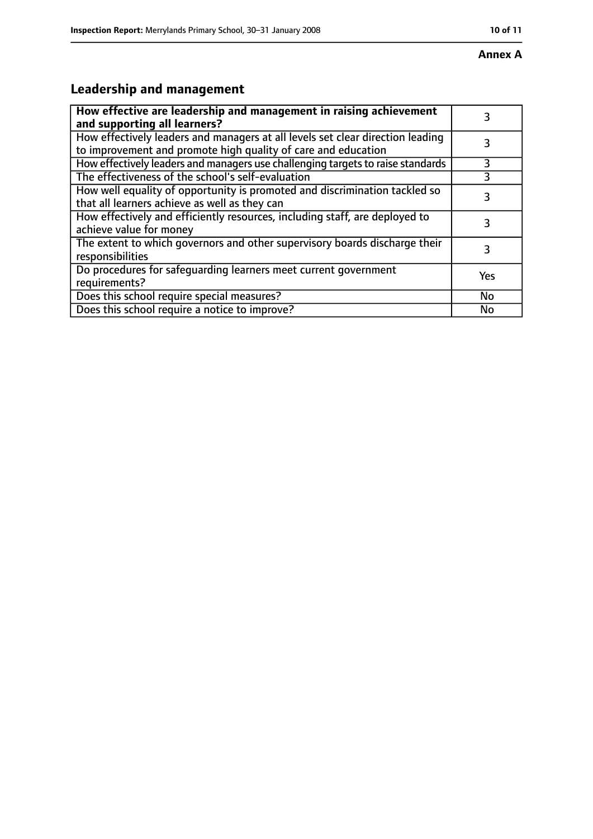# **Leadership and management**

| How effective are leadership and management in raising achievement<br>and supporting all learners?                                              | 3         |
|-------------------------------------------------------------------------------------------------------------------------------------------------|-----------|
| How effectively leaders and managers at all levels set clear direction leading<br>to improvement and promote high quality of care and education |           |
| How effectively leaders and managers use challenging targets to raise standards                                                                 | 3         |
| The effectiveness of the school's self-evaluation                                                                                               | 3         |
| How well equality of opportunity is promoted and discrimination tackled so<br>that all learners achieve as well as they can                     | 3         |
| How effectively and efficiently resources, including staff, are deployed to<br>achieve value for money                                          | 3         |
| The extent to which governors and other supervisory boards discharge their<br>responsibilities                                                  | 3         |
| Do procedures for safequarding learners meet current government<br>requirements?                                                                | Yes       |
| Does this school require special measures?                                                                                                      | <b>No</b> |
| Does this school require a notice to improve?                                                                                                   | No        |